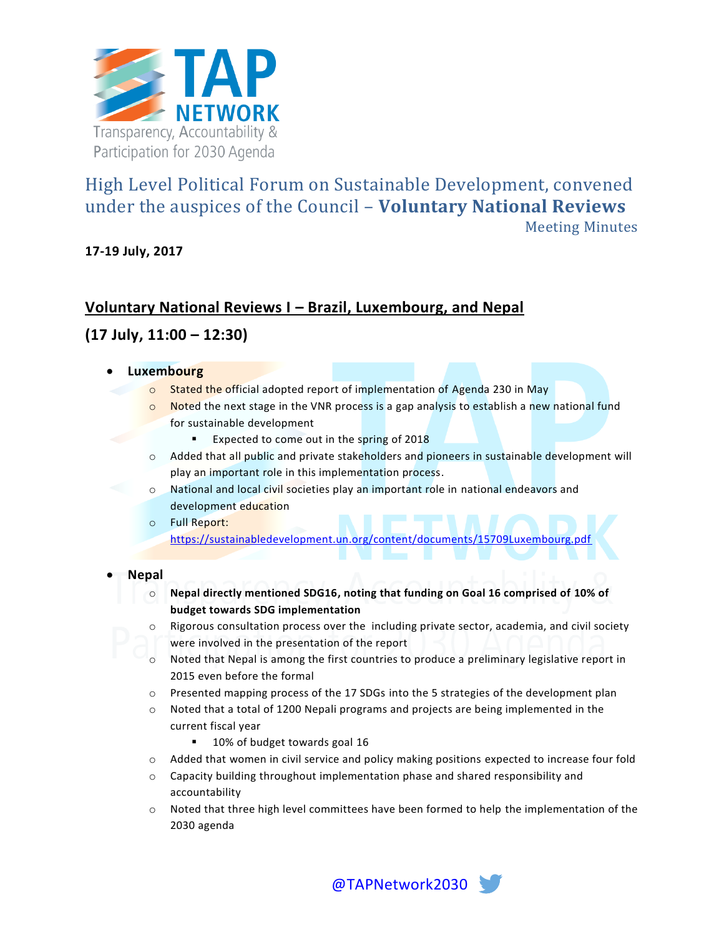

# High Level Political Forum on Sustainable Development, convened under the auspices of the Council – **Voluntary National Reviews** Meeting Minutes

**17-19 July, 2017**

## **Voluntary National Reviews I – Brazil, Luxembourg, and Nepal**

## **(17 July, 11:00 – 12:30)**

### **Luxembourg**

- o Stated the official adopted report of implementation of Agenda 230 in May
- $\circ$  Noted the next stage in the VNR process is a gap analysis to establish a new national fund for sustainable development
	- Expected to come out in the spring of 2018
- o Added that all public and private stakeholders and pioneers in sustainable development will play an important role in this implementation process.
- o National and local civil societies play an important role in national endeavors and development education
- o Full Report:

<https://sustainabledevelopment.un.org/content/documents/15709Luxembourg.pdf>

#### **Nepal**

- o **Nepal directly mentioned SDG16, noting that funding on Goal 16 comprised of 10% of budget towards SDG implementation**
- o Rigorous consultation process over the including private sector, academia, and civil society were involved in the presentation of the report
- Noted that Nepal is among the first countries to produce a preliminary legislative report in 2015 even before the formal
- o Presented mapping process of the 17 SDGs into the 5 strategies of the development plan
- o Noted that a total of 1200 Nepali programs and projects are being implemented in the current fiscal year
	- 10% of budget towards goal 16
- o Added that women in civil service and policy making positions expected to increase four fold
- $\circ$  Capacity building throughout implementation phase and shared responsibility and accountability
- $\circ$  Noted that three high level committees have been formed to help the implementation of the 2030 agenda

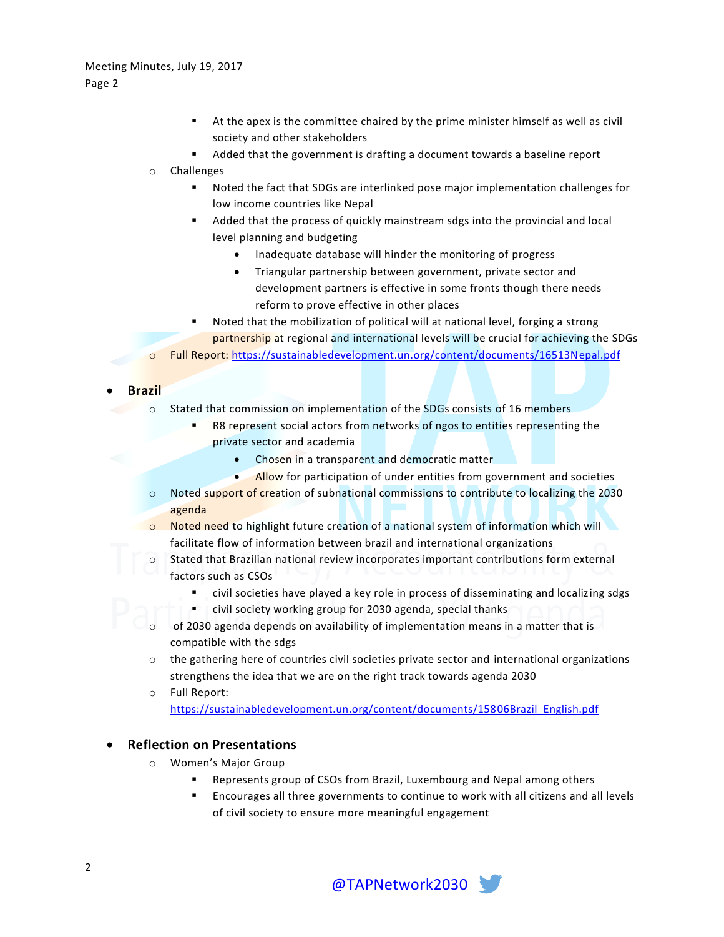- At the apex is the committee chaired by the prime minister himself as well as civil society and other stakeholders
	- Added that the government is drafting a document towards a baseline report
- o Challenges
	- Noted the fact that SDGs are interlinked pose major implementation challenges for low income countries like Nepal
	- Added that the process of quickly mainstream sdgs into the provincial and local level planning and budgeting
		- Inadequate database will hinder the monitoring of progress
		- Triangular partnership between government, private sector and development partners is effective in some fronts though there needs reform to prove effective in other places
	- Noted that the mobilization of political will at national level, forging a strong partnership at regional and international levels will be crucial for achieving the SDGs
- o Full Report:<https://sustainabledevelopment.un.org/content/documents/16513Nepal.pdf>

#### **Brazil**

- o Stated that commission on implementation of the SDGs consists of 16 members
	- R8 represent social actors from networks of ngos to entities representing the private sector and academia
		- Chosen in a transparent and democratic matter
		- Allow for participation of under entities from government and societies
- o Noted support of creation of subnational commissions to contribute to localizing the 2030 agenda
- o Noted need to highlight future creation of a national system of information which will facilitate flow of information between brazil and international organizations
- o Stated that Brazilian national review incorporates important contributions form external factors such as CSOs
	- civil societies have played a key role in process of disseminating and localizing sdgs
	- civil society working group for 2030 agenda, special thanks
- o of 2030 agenda depends on availability of implementation means in a matter that is compatible with the sdgs
- $\circ$  the gathering here of countries civil societies private sector and international organizations strengthens the idea that we are on the right track towards agenda 2030
- o Full Report: [https://sustainabledevelopment.un.org/content/documents/15806Brazil\\_English.pdf](https://sustainabledevelopment.un.org/content/documents/15806Brazil_English.pdf)

#### **Reflection on Presentations**

- o Women's Major Group
	- Represents group of CSOs from Brazil, Luxembourg and Nepal among others
	- Encourages all three governments to continue to work with all citizens and all levels of civil society to ensure more meaningful engagement



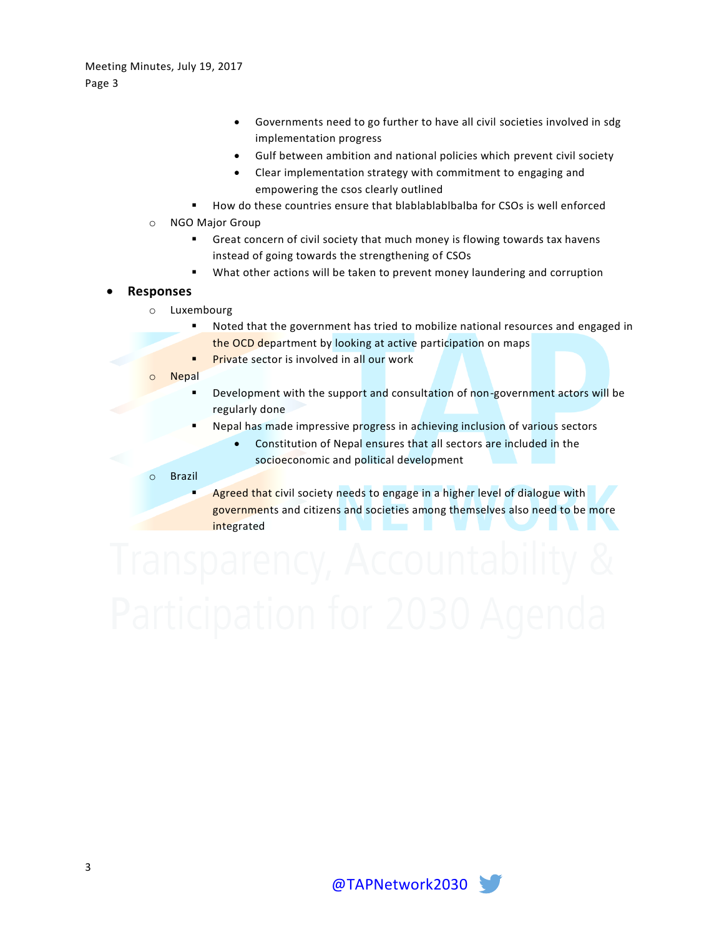- Governments need to go further to have all civil societies involved in sdg implementation progress
- Gulf between ambition and national policies which prevent civil society
- Clear implementation strategy with commitment to engaging and empowering the csos clearly outlined
- How do these countries ensure that blablablablbalba for CSOs is well enforced
- o NGO Major Group
	- Great concern of civil society that much money is flowing towards tax havens instead of going towards the strengthening of CSOs
		- What other actions will be taken to prevent money laundering and corruption

#### **Responses**

- o Luxembourg
	- **Noted that the government has tried to mobilize national resources and engaged in** the OCD department by looking at active participation on maps
	- **Private sector is involved in all our work**
- o Nepal
	- Development with the support and consultation of non-government actors will be regularly done
	- Nepal has made impressive progress in achieving inclusion of various sectors
		- Constitution of Nepal ensures that all sectors are included in the socioeconomic and political development

#### o Brazil

Agreed that civil society needs to engage in a higher level of dialogue with governments and citizens and societies among themselves also need to be more integrated



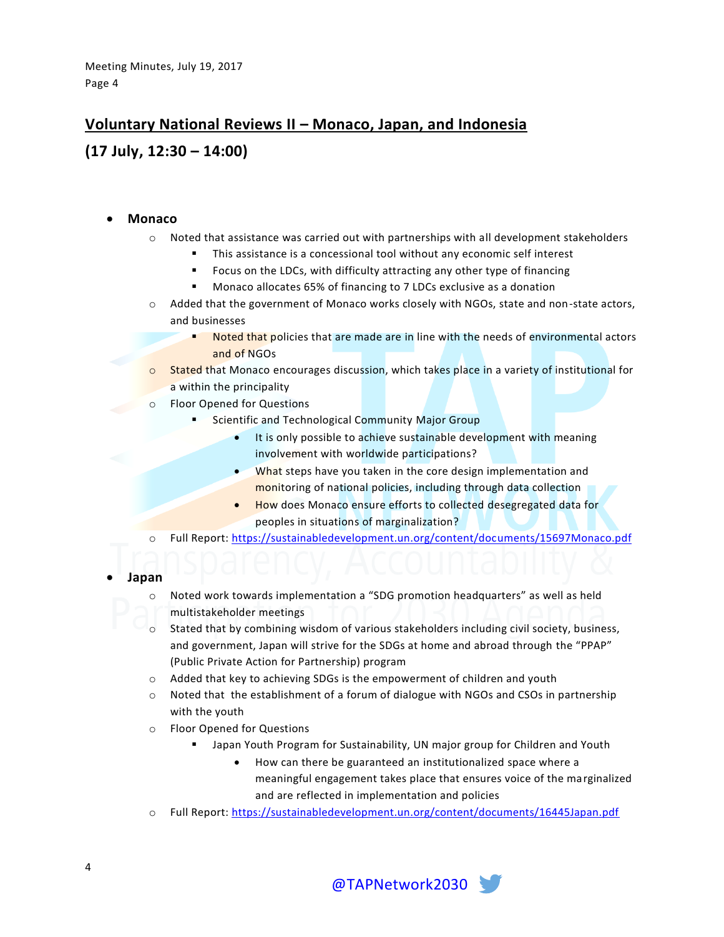## **Voluntary National Reviews II – Monaco, Japan, and Indonesia**

## **(17 July, 12:30 – 14:00)**

#### **Monaco**

- $\circ$  Noted that assistance was carried out with partnerships with all development stakeholders
	- This assistance is a concessional tool without any economic self interest
	- Focus on the LDCs, with difficulty attracting any other type of financing
	- **Monaco allocates 65% of financing to 7 LDCs exclusive as a donation**
- o Added that the government of Monaco works closely with NGOs, state and non-state actors, and businesses
	- Noted that policies that are made are in line with the needs of environmental actors and of NGOs
- $\circ$  Stated that Monaco encourages discussion, which takes place in a variety of institutional for a within the principality
- o Floor Opened for Questions
	- **E** Scientific and Technological Community Major Group
		- It is only possible to achieve sustainable development with meaning involvement with worldwide participations?
		- What steps have you taken in the core design implementation and monitoring of national policies, including through data collection
		- How does Monaco ensure efforts to collected desegregated data for peoples in situations of marginalization?
- o Full Report:<https://sustainabledevelopment.un.org/content/documents/15697Monaco.pdf>

#### **Japan**

- o Noted work towards implementation a "SDG promotion headquarters" as well as held multistakeholder meetings
- o Stated that by combining wisdom of various stakeholders including civil society, business, and government, Japan will strive for the SDGs at home and abroad through the "PPAP" (Public Private Action for Partnership) program
- $\circ$  Added that key to achieving SDGs is the empowerment of children and youth
- o Noted that the establishment of a forum of dialogue with NGOs and CSOs in partnership with the youth
- o Floor Opened for Questions
	- Japan Youth Program for Sustainability, UN major group for Children and Youth
		- How can there be guaranteed an institutionalized space where a meaningful engagement takes place that ensures voice of the marginalized and are reflected in implementation and policies
- o Full Report:<https://sustainabledevelopment.un.org/content/documents/16445Japan.pdf>

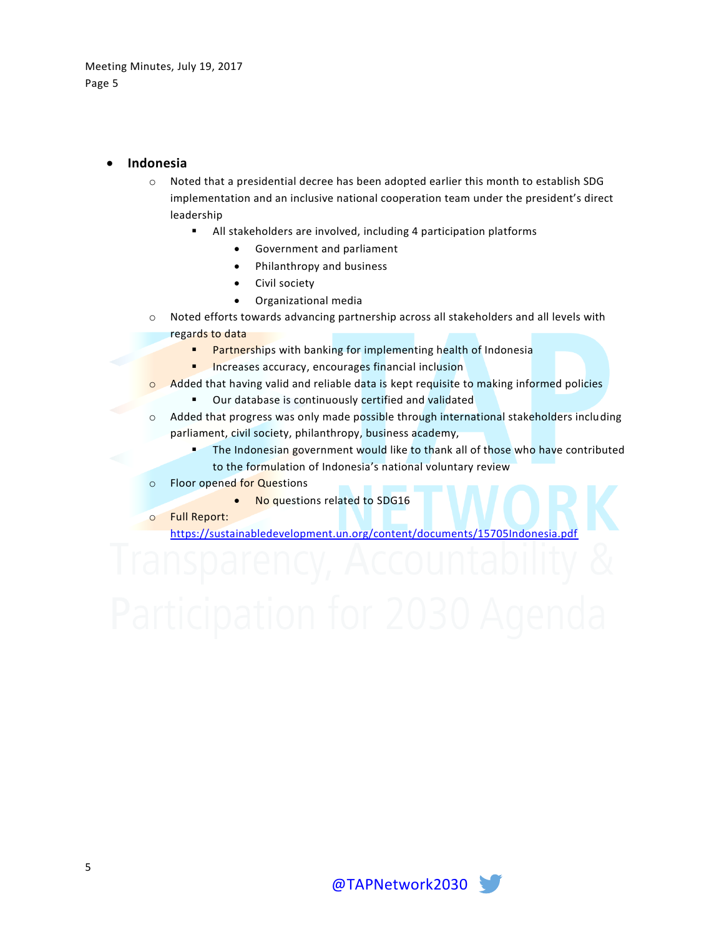### **Indonesia**

- o Noted that a presidential decree has been adopted earlier this month to establish SDG implementation and an inclusive national cooperation team under the president's direct leadership
	- All stakeholders are involved, including 4 participation platforms
		- Government and parliament
		- Philanthropy and business
		- Civil society
		- Organizational media
- o Noted efforts towards advancing partnership across all stakeholders and all levels with regards to data
	- Partnerships with banking for implementing health of Indonesia
	- **Increases accuracy, encourages financial inclusion**
- o Added that having valid and reliable data is kept requisite to making informed policies
	- Our database is continuously certified and validated
- o Added that progress was only made possible through international stakeholders including parliament, civil society, philanthropy, business academy,
	- **The Indonesian government would like to thank all of those who have contributed** to the formulation of Indonesia's national voluntary review
- o Floor opened for Questions
	- No questions related to SDG16
- o Full Report:

<https://sustainabledevelopment.un.org/content/documents/15705Indonesia.pdf>

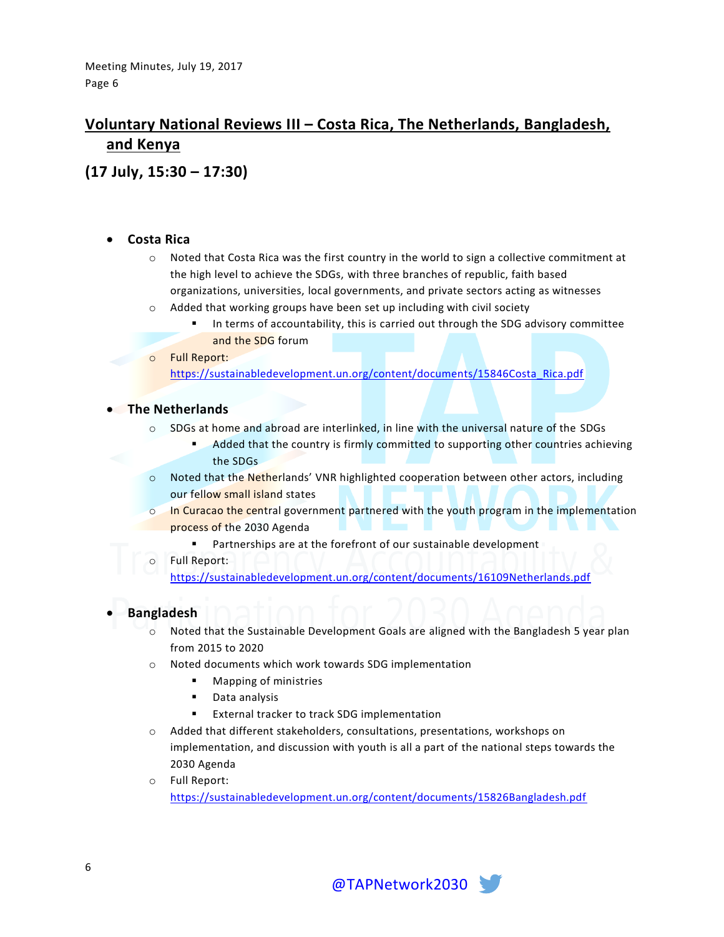# **Voluntary National Reviews III – Costa Rica, The Netherlands, Bangladesh, and Kenya**

**(17 July, 15:30 – 17:30)**

### **Costa Rica**

- $\circ$  Noted that Costa Rica was the first country in the world to sign a collective commitment at the high level to achieve the SDGs, with three branches of republic, faith based organizations, universities, local governments, and private sectors acting as witnesses
- $\circ$  Added that working groups have been set up including with civil society
	- In terms of accountability, this is carried out through the SDG advisory committee and the SDG forum
- o Full Report: [https://sustainabledevelopment.un.org/content/documents/15846Costa\\_Rica.pdf](https://sustainabledevelopment.un.org/content/documents/15846Costa_Rica.pdf)

#### **The Netherlands**

- $\circ$  SDGs at home and abroad are interlinked, in line with the universal nature of the SDGs
	- Added that the country is firmly committed to supporting other countries achieving the SDGs
- $\circ$  Noted that the Netherlands' VNR highlighted cooperation between other actors, including our fellow small island states
- o In Curacao the central government partnered with the youth program in the implementation process of the 2030 Agenda
	- Partnerships are at the forefront of our sustainable development
- o Full Report:

<https://sustainabledevelopment.un.org/content/documents/16109Netherlands.pdf>

## **Bangladesh**

- o Noted that the Sustainable Development Goals are aligned with the Bangladesh 5 year plan from 2015 to 2020
- o Noted documents which work towards SDG implementation
	- Mapping of ministries
	- Data analysis
	- **External tracker to track SDG implementation**
- o Added that different stakeholders, consultations, presentations, workshops on implementation, and discussion with youth is all a part of the national steps towards the 2030 Agenda
- o Full Report: <https://sustainabledevelopment.un.org/content/documents/15826Bangladesh.pdf>

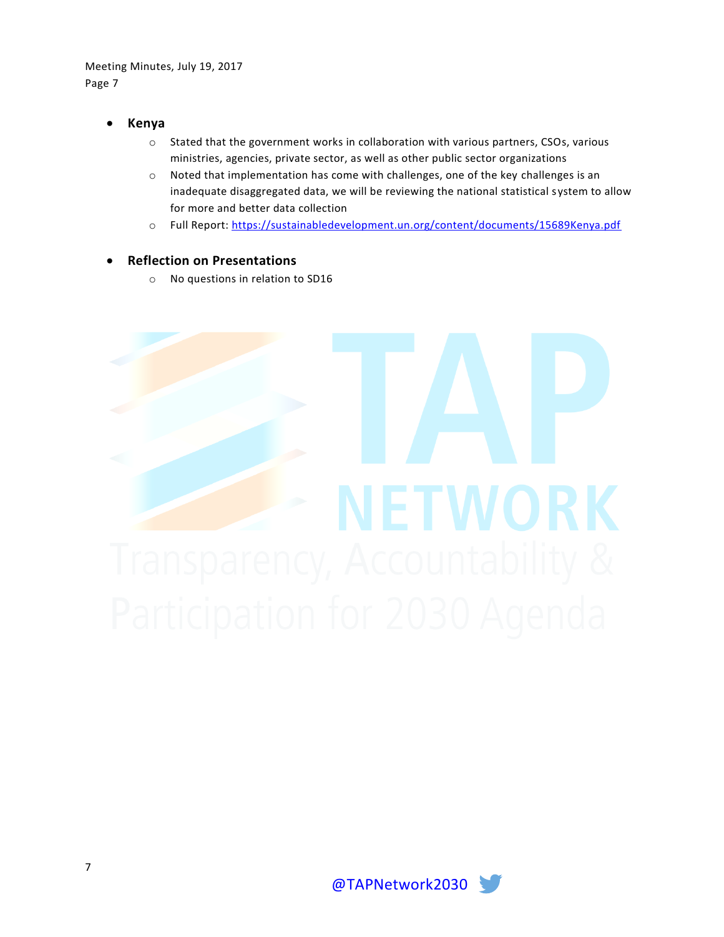- **Kenya**
	- o Stated that the government works in collaboration with various partners, CSOs, various ministries, agencies, private sector, as well as other public sector organizations
	- o Noted that implementation has come with challenges, one of the key challenges is an inadequate disaggregated data, we will be reviewing the national statistical system to allow for more and better data collection
	- o Full Report: <https://sustainabledevelopment.un.org/content/documents/15689Kenya.pdf>

### **Reflection on Presentations**

o No questions in relation to SD16



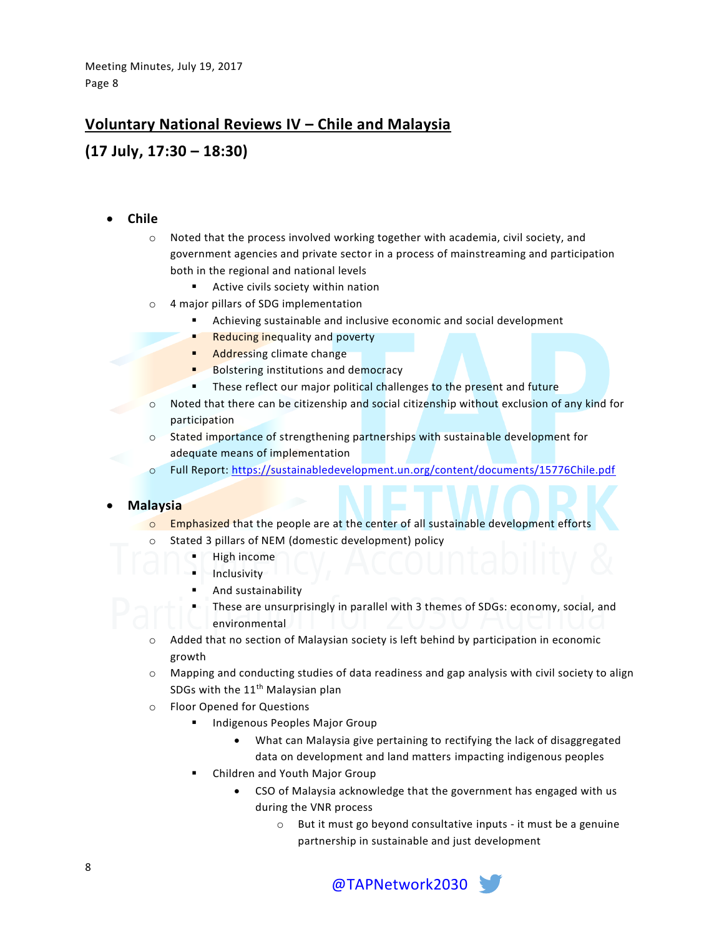## **Voluntary National Reviews IV – Chile and Malaysia**

## **(17 July, 17:30 – 18:30)**

- **Chile**
	- $\circ$  Noted that the process involved working together with academia, civil society, and government agencies and private sector in a process of mainstreaming and participation both in the regional and national levels
		- Active civils society within nation
	- o 4 major pillars of SDG implementation
		- Achieving sustainable and inclusive economic and social development
		- **Reducing inequality and poverty**
		- Addressing climate change
		- **Bolstering institutions and democracy**
		- These reflect our major political challenges to the present and future
	- o Noted that there can be citizenship and social citizenship without exclusion of any kind for participation
	- $\circ$  Stated importance of strengthening partnerships with sustainable development for adequate means of implementation
	- o Full Report:<https://sustainabledevelopment.un.org/content/documents/15776Chile.pdf>

#### **Malaysia**

- o Emphasized that the people are at the center of all sustainable development efforts
- o Stated 3 pillars of NEM (domestic development) policy
	- High income
		- Inclusivity
		- And sustainability
		- These are unsurprisingly in parallel with 3 themes of SDGs: economy, social, and environmental
- $\circ$  Added that no section of Malaysian society is left behind by participation in economic growth
- o Mapping and conducting studies of data readiness and gap analysis with civil society to align SDGs with the  $11<sup>th</sup>$  Malaysian plan
- o Floor Opened for Questions
	- Indigenous Peoples Major Group
		- What can Malaysia give pertaining to rectifying the lack of disaggregated data on development and land matters impacting indigenous peoples
	- Children and Youth Major Group
		- CSO of Malaysia acknowledge that the government has engaged with us during the VNR process
			- o But it must go beyond consultative inputs it must be a genuine partnership in sustainable and just development

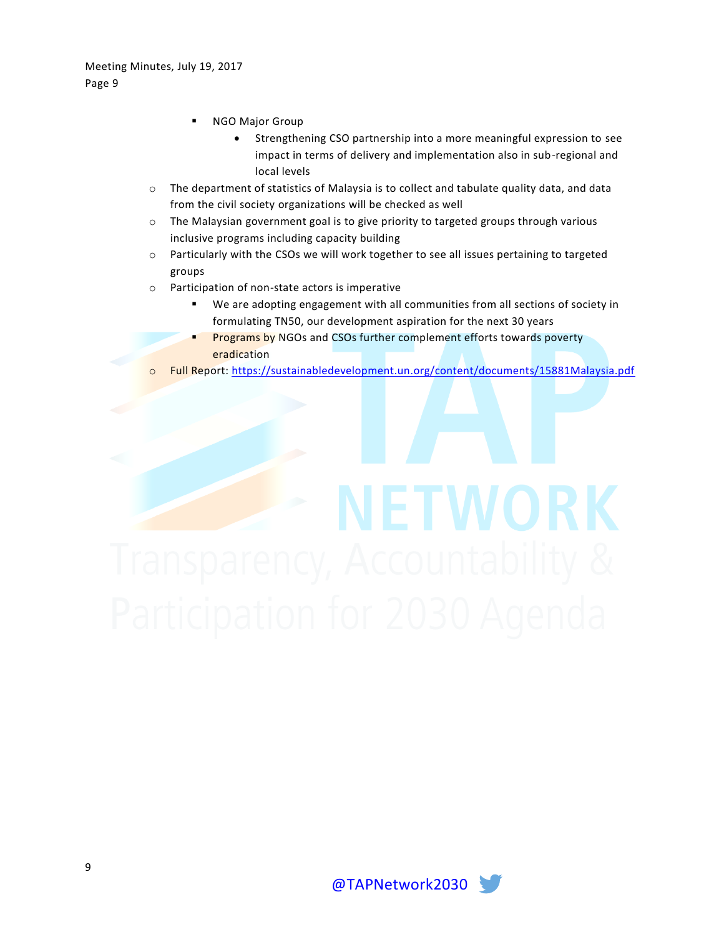- NGO Major Group
	- Strengthening CSO partnership into a more meaningful expression to see impact in terms of delivery and implementation also in sub-regional and local levels
- o The department of statistics of Malaysia is to collect and tabulate quality data, and data from the civil society organizations will be checked as well
- o The Malaysian government goal is to give priority to targeted groups through various inclusive programs including capacity building
- o Particularly with the CSOs we will work together to see all issues pertaining to targeted groups
- o Participation of non-state actors is imperative
	- We are adopting engagement with all communities from all sections of society in formulating TN50, our development aspiration for the next 30 years
	- Programs by NGOs and CSOs further complement efforts towards poverty eradication
- o Full Report:<https://sustainabledevelopment.un.org/content/documents/15881Malaysia.pdf>

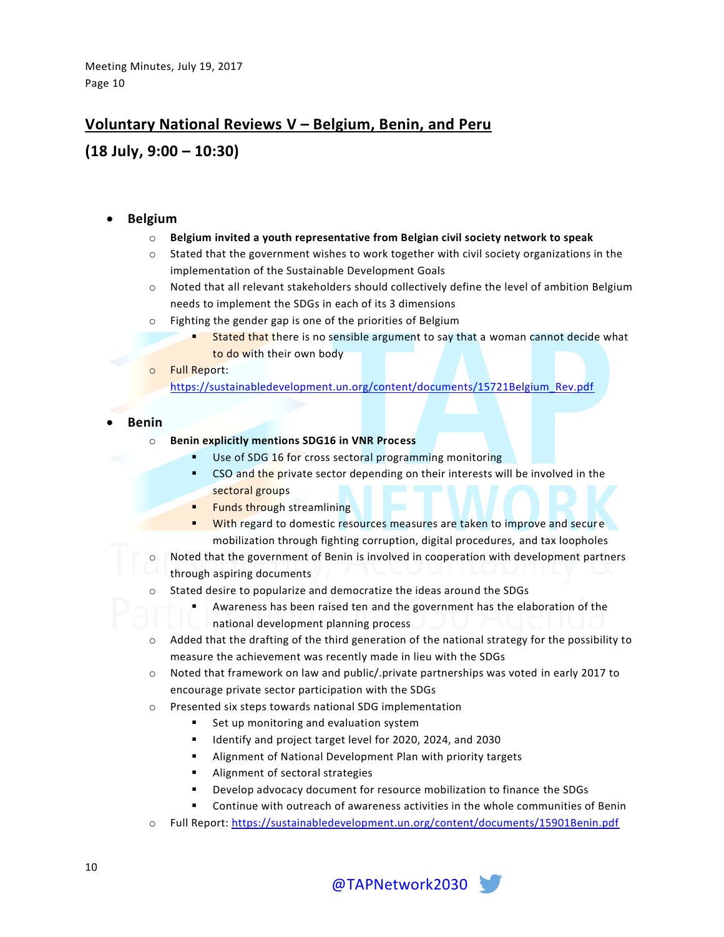## **Voluntary National Reviews V – Belgium, Benin, and Peru**

## **(18 July, 9:00 – 10:30)**

### **Belgium**

- o **Belgium invited a youth representative from Belgian civil society network to speak**
- o Stated that the government wishes to work together with civil society organizations in the implementation of the Sustainable Development Goals
- o Noted that all relevant stakeholders should collectively define the level of ambition Belgium needs to implement the SDGs in each of its 3 dimensions
- o Fighting the gender gap is one of the priorities of Belgium
	- Stated that there is no sensible argument to say that a woman cannot decide what to do with their own body
- o Full Report:
	- [https://sustainabledevelopment.un.org/content/documents/15721Belgium\\_Rev.pdf](https://sustainabledevelopment.un.org/content/documents/15721Belgium_Rev.pdf)

**Benin**

- o **Benin explicitly mentions SDG16 in VNR Process**
	- Use of SDG 16 for cross sectoral programming monitoring
	- CSO and the private sector depending on their interests will be involved in the sectoral groups
	- **Funds through streamlining**
	- **With regard to domestic resources measures are taken to improve and secure** mobilization through fighting corruption, digital procedures, and tax loopholes
- Noted that the government of Benin is involved in cooperation with development partners through aspiring documents
- o Stated desire to popularize and democratize the ideas around the SDGs
	- Awareness has been raised ten and the government has the elaboration of the national development planning process
- $\circ$  Added that the drafting of the third generation of the national strategy for the possibility to measure the achievement was recently made in lieu with the SDGs
- o Noted that framework on law and public/.private partnerships was voted in early 2017 to encourage private sector participation with the SDGs
- o Presented six steps towards national SDG implementation
	- Set up monitoring and evaluation system
	- Identify and project target level for 2020, 2024, and 2030
	- Alignment of National Development Plan with priority targets
	- Alignment of sectoral strategies
	- Develop advocacy document for resource mobilization to finance the SDGs
	- Continue with outreach of awareness activities in the whole communities of Benin
- o Full Report:<https://sustainabledevelopment.un.org/content/documents/15901Benin.pdf>

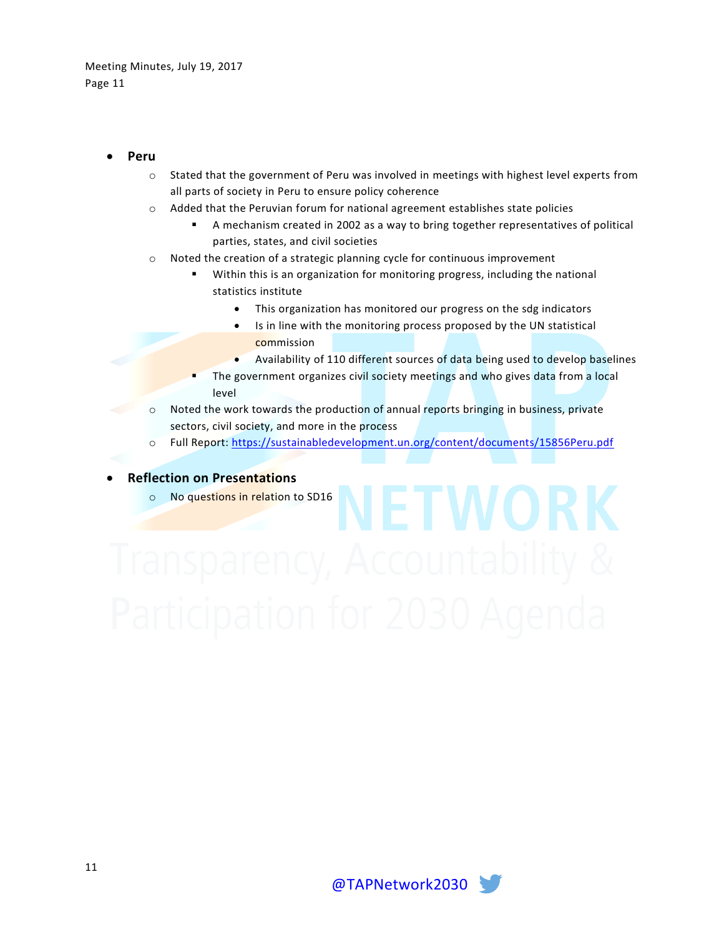### **Peru**

- o Stated that the government of Peru was involved in meetings with highest level experts from all parts of society in Peru to ensure policy coherence
- o Added that the Peruvian forum for national agreement establishes state policies
	- A mechanism created in 2002 as a way to bring together representatives of political parties, states, and civil societies
- o Noted the creation of a strategic planning cycle for continuous improvement
	- Within this is an organization for monitoring progress, including the national statistics institute
		- This organization has monitored our progress on the sdg indicators
		- Is in line with the monitoring process proposed by the UN statistical commission
		- Availability of 110 different sources of data being used to develop baselines
	- The government organizes civil society meetings and who gives data from a local level
- o Noted the work towards the production of annual reports bringing in business, private sectors, civil society, and more in the process
- o Full Report:<https://sustainabledevelopment.un.org/content/documents/15856Peru.pdf>

#### **Reflection on Presentations**

o No questions in relation to SD16

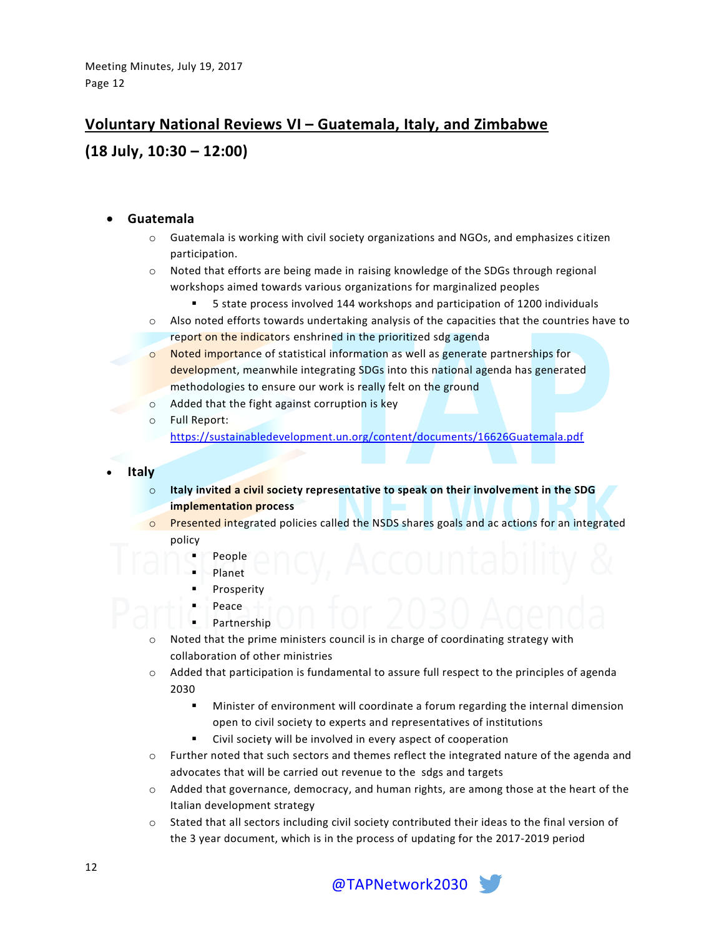## **Voluntary National Reviews VI – Guatemala, Italy, and Zimbabwe**

## **(18 July, 10:30 – 12:00)**

#### **Guatemala**

- $\circ$  Guatemala is working with civil society organizations and NGOs, and emphasizes citizen participation.
- $\circ$  Noted that efforts are being made in raising knowledge of the SDGs through regional workshops aimed towards various organizations for marginalized peoples
	- 5 state process involved 144 workshops and participation of 1200 individuals
- $\circ$  Also noted efforts towards undertaking analysis of the capacities that the countries have to report on the indicators enshrined in the prioritized sdg agenda
- o Noted importance of statistical information as well as generate partnerships for development, meanwhile integrating SDGs into this national agenda has generated methodologies to ensure our work is really felt on the ground
- o Added that the fight against corruption is key
- o Full Report:

<https://sustainabledevelopment.un.org/content/documents/16626Guatemala.pdf>

#### **Italy**

- o **Italy invited a civil society representative to speak on their involvement in the SDG implementation process**
- o Presented integrated policies called the NSDS shares goals and ac actions for an integrated policy
	- People
		- Planet
	- Prosperity
	- Peace
	- Partnership
- Noted that the prime ministers council is in charge of coordinating strategy with collaboration of other ministries
- o Added that participation is fundamental to assure full respect to the principles of agenda 2030
	- Minister of environment will coordinate a forum regarding the internal dimension open to civil society to experts and representatives of institutions
	- Civil society will be involved in every aspect of cooperation
- o Further noted that such sectors and themes reflect the integrated nature of the agenda and advocates that will be carried out revenue to the sdgs and targets
- $\circ$  Added that governance, democracy, and human rights, are among those at the heart of the Italian development strategy
- o Stated that all sectors including civil society contributed their ideas to the final version of the 3 year document, which is in the process of updating for the 2017-2019 period

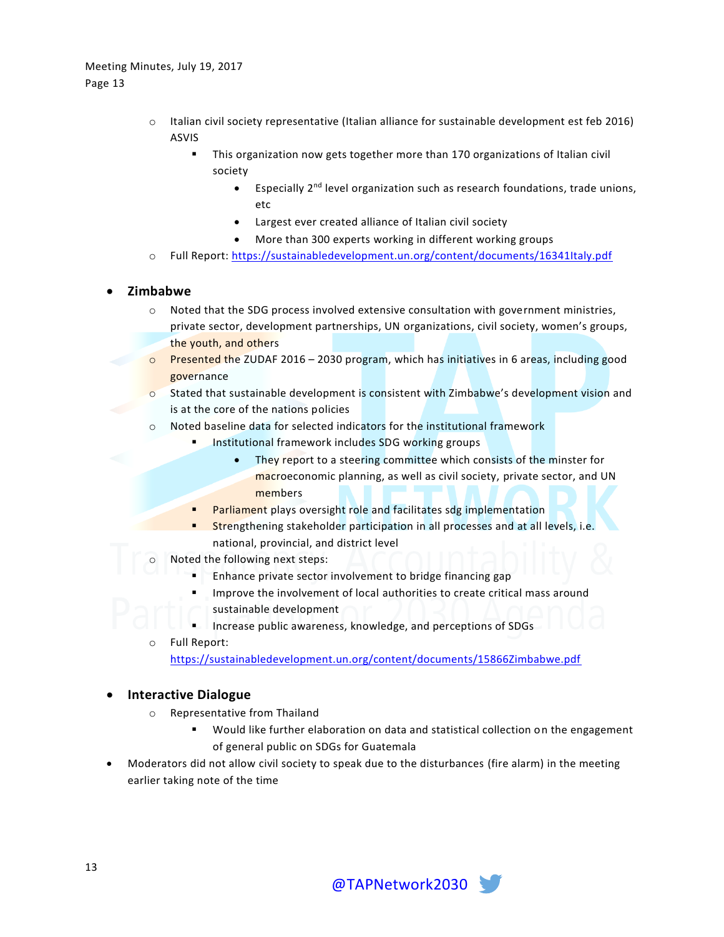- $\circ$  Italian civil society representative (Italian alliance for sustainable development est feb 2016) ASVIS
	- This organization now gets together more than 170 organizations of Italian civil society
		- **Especially 2<sup>nd</sup> level organization such as research foundations, trade unions,** etc
		- Largest ever created alliance of Italian civil society
		- More than 300 experts working in different working groups
- o Full Report:<https://sustainabledevelopment.un.org/content/documents/16341Italy.pdf>

#### **Zimbabwe**

- o Noted that the SDG process involved extensive consultation with government ministries, private sector, development partnerships, UN organizations, civil society, women's groups, the youth, and others
- o Presented the ZUDAF 2016 2030 program, which has initiatives in 6 areas, including good governance
- $\circ$  Stated that sustainable development is consistent with Zimbabwe's development vision and is at the core of the nations policies
- o Noted baseline data for selected indicators for the institutional framework
	- Institutional framework includes SDG working groups
		- They report to a steering committee which consists of the minster for macroeconomic planning, as well as civil society, private sector, and UN members
	- Parliament plays oversight role and facilitates sdg implementation
	- Strengthening stakeholder participation in all processes and at all levels, i.e. national, provincial, and district level
- Noted the following next steps:
	- Enhance private sector involvement to bridge financing gap
	- Improve the involvement of local authorities to create critical mass around sustainable development
	- Increase public awareness, knowledge, and perceptions of SDGs
- o Full Report: <https://sustainabledevelopment.un.org/content/documents/15866Zimbabwe.pdf>

#### **Interactive Dialogue**

- o Representative from Thailand
	- Would like further elaboration on data and statistical collection on the engagement of general public on SDGs for Guatemala
- Moderators did not allow civil society to speak due to the disturbances (fire alarm) in the meeting earlier taking note of the time

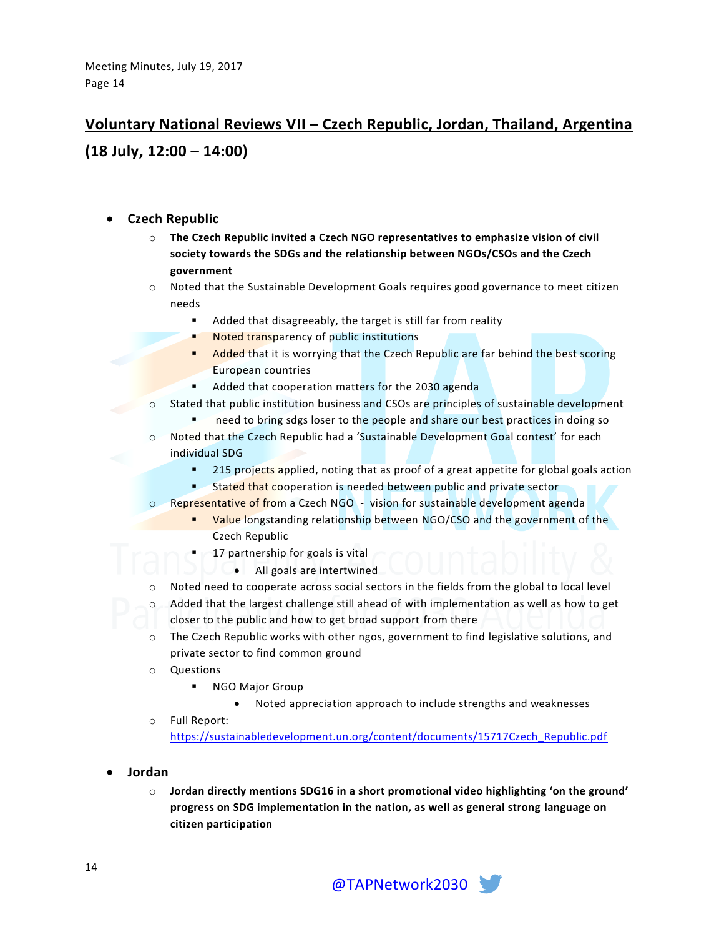# **Voluntary National Reviews VII – Czech Republic, Jordan, Thailand, Argentina (18 July, 12:00 – 14:00)**

- **Czech Republic**
	- o **The Czech Republic invited a Czech NGO representatives to emphasize vision of civil society towards the SDGs and the relationship between NGOs/CSOs and the Czech government**
	- $\circ$  Noted that the Sustainable Development Goals requires good governance to meet citizen needs
		- Added that disagreeably, the target is still far from reality
		- K Noted transparency of public institutions
		- Added that it is worrying that the Czech Republic are far behind the best scoring European countries
		- Added that cooperation matters for the 2030 agenda
	- o Stated that public institution business and CSOs are principles of sustainable development
		- need to bring sdgs loser to the people and share our best practices in doing so
	- o Noted that the Czech Republic had a 'Sustainable Development Goal contest' for each individual SDG
		- **215 projects applied, noting that as proof of a great appetite for global goals action**
		- **Stated that cooperation is needed between public and private sector**
	- o Representative of from a Czech NGO vision for sustainable development agenda
		- Value longstanding relationship between NGO/CSO and the government of the Czech Republic
		- 17 partnership for goals is vital
			- All goals are intertwined
	- $\circ$  Noted need to cooperate across social sectors in the fields from the global to local level
	- o Added that the largest challenge still ahead of with implementation as well as how to get closer to the public and how to get broad support from there
	- o The Czech Republic works with other ngos, government to find legislative solutions, and private sector to find common ground
	- o Questions
		- **NGO Major Group** 
			- Noted appreciation approach to include strengths and weaknesses
	- o Full Report: [https://sustainabledevelopment.un.org/content/documents/15717Czech\\_Republic.pdf](https://sustainabledevelopment.un.org/content/documents/15717Czech_Republic.pdf)
- **Jordan**
	- o **Jordan directly mentions SDG16 in a short promotional video highlighting 'on the ground' progress on SDG implementation in the nation, as well as general strong language on citizen participation**

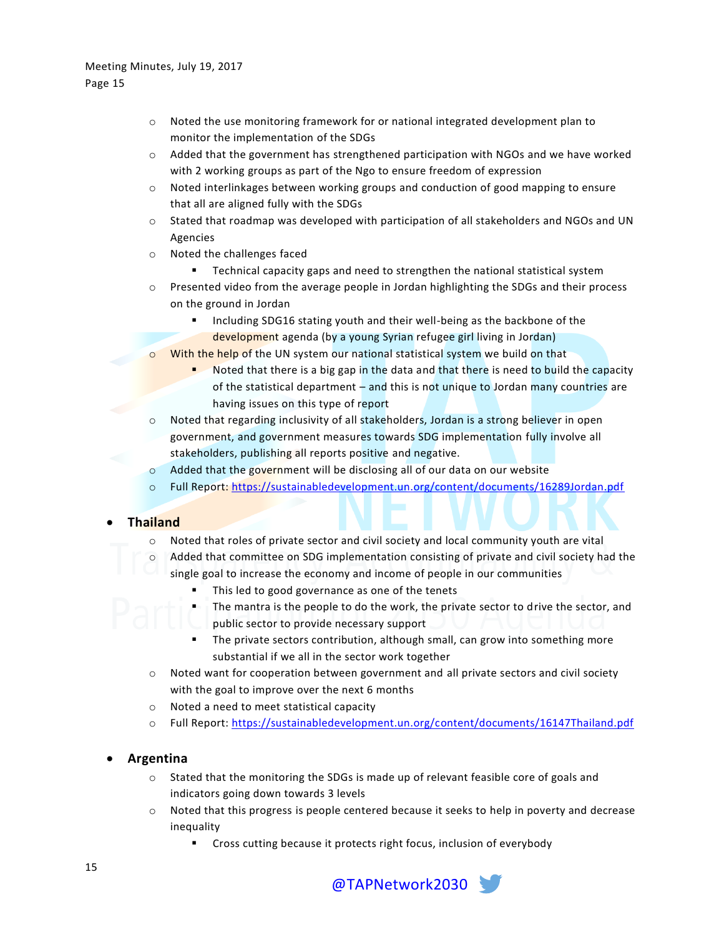- $\circ$  Noted the use monitoring framework for or national integrated development plan to monitor the implementation of the SDGs
- $\circ$  Added that the government has strengthened participation with NGOs and we have worked with 2 working groups as part of the Ngo to ensure freedom of expression
- o Noted interlinkages between working groups and conduction of good mapping to ensure that all are aligned fully with the SDGs
- o Stated that roadmap was developed with participation of all stakeholders and NGOs and UN Agencies
- o Noted the challenges faced
	- **F** Technical capacity gaps and need to strengthen the national statistical system
- o Presented video from the average people in Jordan highlighting the SDGs and their process on the ground in Jordan
	- Including SDG16 stating youth and their well-being as the backbone of the development agenda (by a young Syrian refugee girl living in Jordan)
- $\circ$  With the help of the UN system our national statistical system we build on that
	- **Noted that there is a big gap in the data and that there is need to build the capacity** of the statistical department – and this is not unique to Jordan many countries are having issues on this type of report
- o Noted that regarding inclusivity of all stakeholders, Jordan is a strong believer in open government, and government measures towards SDG implementation fully involve all stakeholders, publishing all reports positive and negative.
- $\circ$  Added that the government will be disclosing all of our data on our website
- o Full Report:<https://sustainabledevelopment.un.org/content/documents/16289Jordan.pdf>

#### **Thailand**

- o Noted that roles of private sector and civil society and local community youth are vital
- o Added that committee on SDG implementation consisting of private and civil society had the single goal to increase the economy and income of people in our communities
	- This led to good governance as one of the tenets
	- The mantra is the people to do the work, the private sector to drive the sector, and
	- public sector to provide necessary support
	- The private sectors contribution, although small, can grow into something more substantial if we all in the sector work together
- o Noted want for cooperation between government and all private sectors and civil society with the goal to improve over the next 6 months
- o Noted a need to meet statistical capacity
- o Full Report:<https://sustainabledevelopment.un.org/content/documents/16147Thailand.pdf>

#### **Argentina**

- Stated that the monitoring the SDGs is made up of relevant feasible core of goals and indicators going down towards 3 levels
- o Noted that this progress is people centered because it seeks to help in poverty and decrease inequality
	- **EXP** Cross cutting because it protects right focus, inclusion of everybody

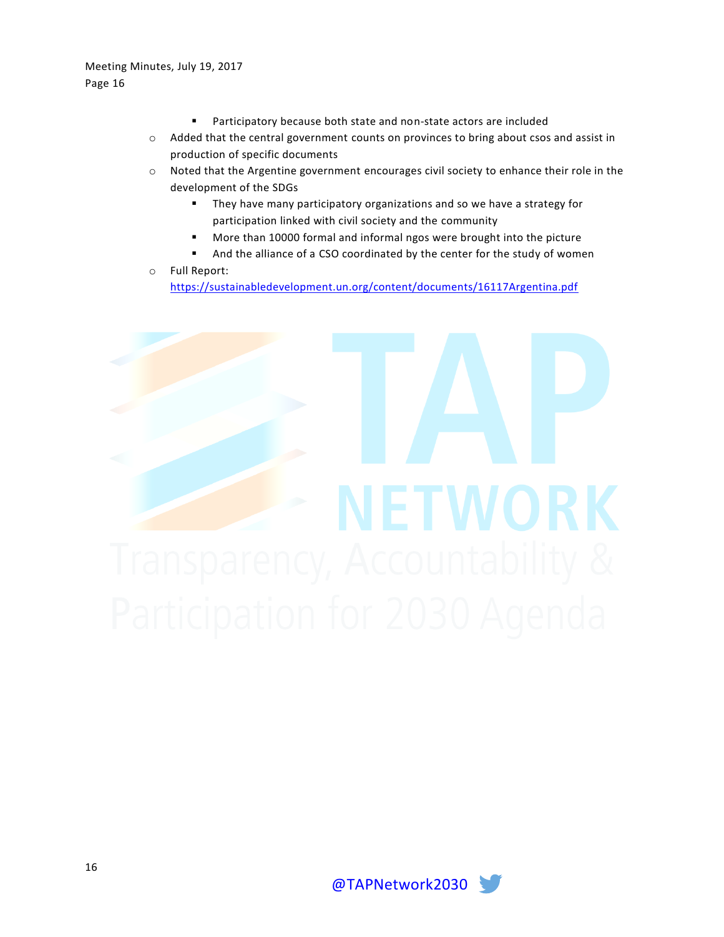- **Participatory because both state and non-state actors are included**
- o Added that the central government counts on provinces to bring about csos and assist in production of specific documents
- o Noted that the Argentine government encourages civil society to enhance their role in the development of the SDGs
	- They have many participatory organizations and so we have a strategy for participation linked with civil society and the community
	- More than 10000 formal and informal ngos were brought into the picture
- And the alliance of a CSO coordinated by the center for the study of women o Full Report:

<https://sustainabledevelopment.un.org/content/documents/16117Argentina.pdf>



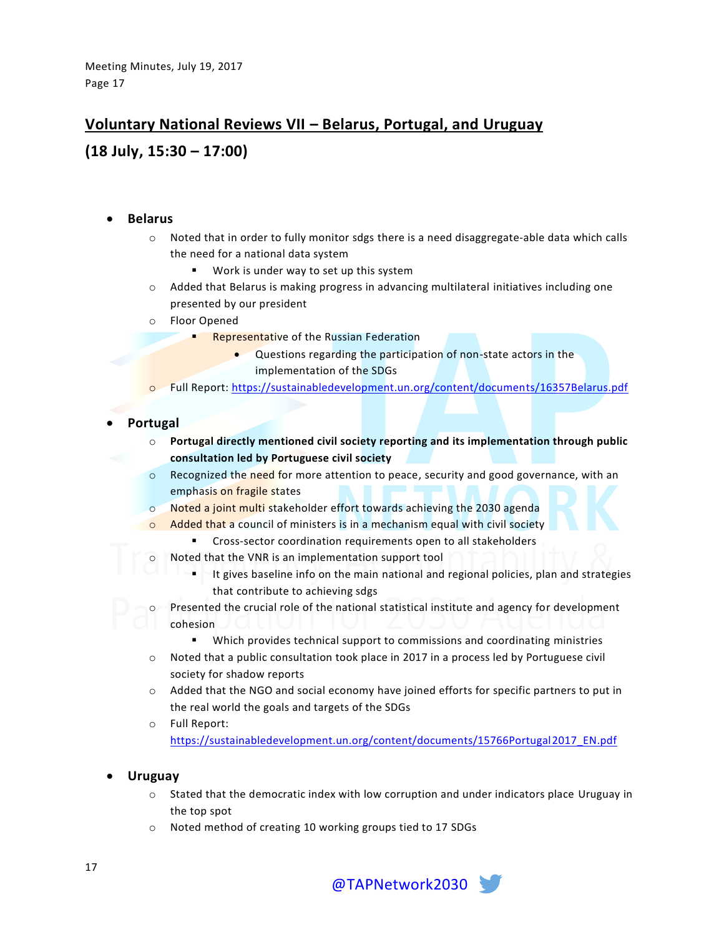## **Voluntary National Reviews VII – Belarus, Portugal, and Uruguay**

## **(18 July, 15:30 – 17:00)**

- **Belarus**
	- $\circ$  Noted that in order to fully monitor sdgs there is a need disaggregate-able data which calls the need for a national data system
		- **Work is under way to set up this system**
	- o Added that Belarus is making progress in advancing multilateral initiatives including one presented by our president
	- o Floor Opened
		- Representative of the Russian Federation
			- Questions regarding the participation of non-state actors in the implementation of the SDGs
	- o Full Report:<https://sustainabledevelopment.un.org/content/documents/16357Belarus.pdf>
- **Portugal**
	- o **Portugal directly mentioned civil society reporting and its implementation through public consultation led by Portuguese civil society**
	- $\circ$  Recognized the need for more attention to peace, security and good governance, with an emphasis on fragile states
	- o Noted a joint multi stakeholder effort towards achieving the 2030 agenda
	- $\circ$  Added that a council of ministers is in a mechanism equal with civil society
		- Cross-sector coordination requirements open to all stakeholders
		- o Noted that the VNR is an implementation support tool
			- It gives baseline info on the main national and regional policies, plan and strategies that contribute to achieving sdgs
		- o Presented the crucial role of the national statistical institute and agency for development cohesion
			- Which provides technical support to commissions and coordinating ministries
		- o Noted that a public consultation took place in 2017 in a process led by Portuguese civil society for shadow reports
		- o Added that the NGO and social economy have joined efforts for specific partners to put in the real world the goals and targets of the SDGs
		- o Full Report: [https://sustainabledevelopment.un.org/content/documents/15766Portugal2017\\_EN.pdf](https://sustainabledevelopment.un.org/content/documents/15766Portugal2017_EN.pdf)

#### **Uruguay**

- $\circ$  Stated that the democratic index with low corruption and under indicators place Uruguay in the top spot
- o Noted method of creating 10 working groups tied to 17 SDGs

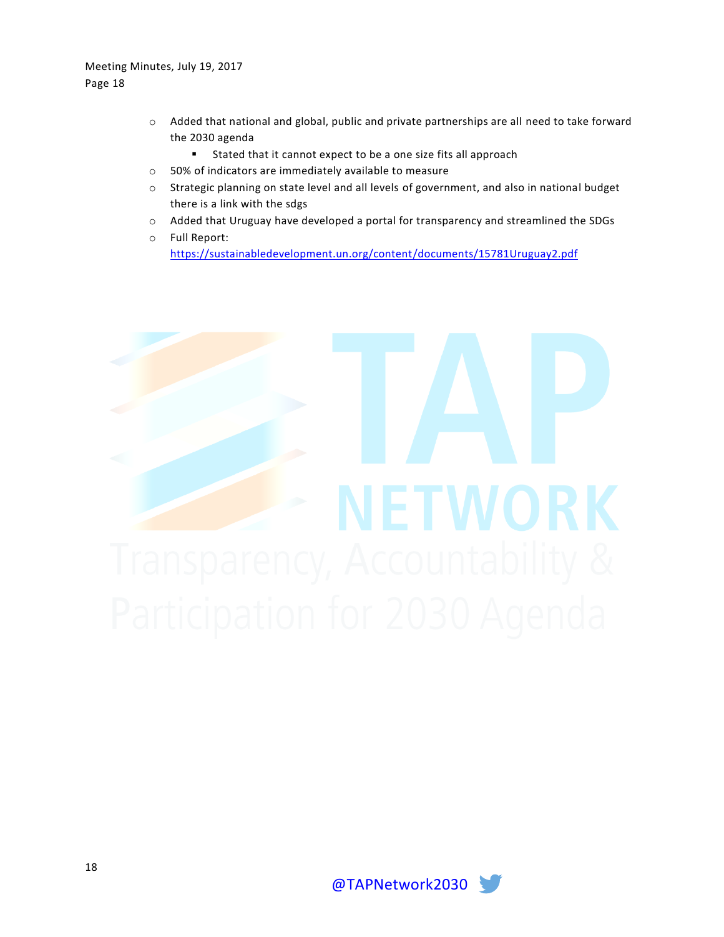- o Added that national and global, public and private partnerships are all need to take forward the 2030 agenda
	- Stated that it cannot expect to be a one size fits all approach
- o 50% of indicators are immediately available to measure
- o Strategic planning on state level and all levels of government, and also in national budget there is a link with the sdgs
- o Added that Uruguay have developed a portal for transparency and streamlined the SDGs
- o Full Report: <https://sustainabledevelopment.un.org/content/documents/15781Uruguay2.pdf>



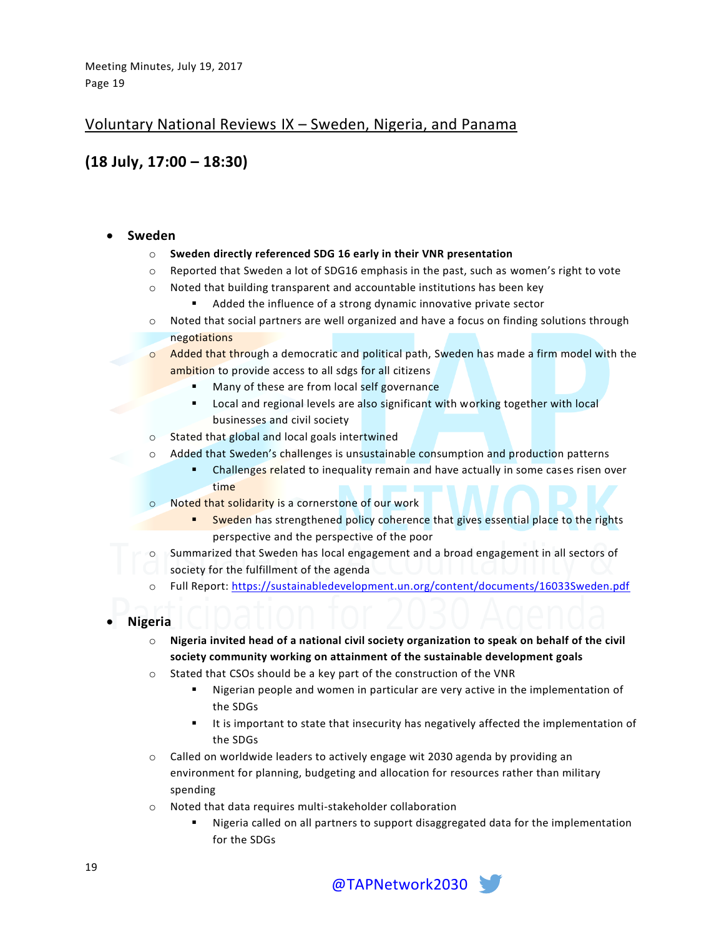## Voluntary National Reviews IX – Sweden, Nigeria, and Panama

## **(18 July, 17:00 – 18:30)**

#### **Sweden**

- o **Sweden directly referenced SDG 16 early in their VNR presentation**
- $\circ$  Reported that Sweden a lot of SDG16 emphasis in the past, such as women's right to vote
- o Noted that building transparent and accountable institutions has been key
	- Added the influence of a strong dynamic innovative private sector
- o Noted that social partners are well organized and have a focus on finding solutions through negotiations

### o Added that through a democratic and political path, Sweden has made a firm model with the ambition to provide access to all sdgs for all citizens

- Many of these are from local self governance
- Local and regional levels are also significant with working together with local businesses and civil society
- o Stated that global and local goals intertwined
- o Added that Sweden's challenges is unsustainable consumption and production patterns
	- **Fall Example 2** Challenges related to inequality remain and have actually in some cases risen over time
- o Noted that solidarity is a cornerstone of our work
	- Sweden has strengthened policy coherence that gives essential place to the rights perspective and the perspective of the poor
- o Summarized that Sweden has local engagement and a broad engagement in all sectors of society for the fulfillment of the agenda
- o Full Report:<https://sustainabledevelopment.un.org/content/documents/16033Sweden.pdf>

### **Nigeria**

- o **Nigeria invited head of a national civil society organization to speak on behalf of the civil society community working on attainment of the sustainable development goals**
- o Stated that CSOs should be a key part of the construction of the VNR
	- Nigerian people and women in particular are very active in the implementation of the SDGs
	- It is important to state that insecurity has negatively affected the implementation of the SDGs
- o Called on worldwide leaders to actively engage wit 2030 agenda by providing an environment for planning, budgeting and allocation for resources rather than military spending
- o Noted that data requires multi-stakeholder collaboration
	- Nigeria called on all partners to support disaggregated data for the implementation for the SDGs

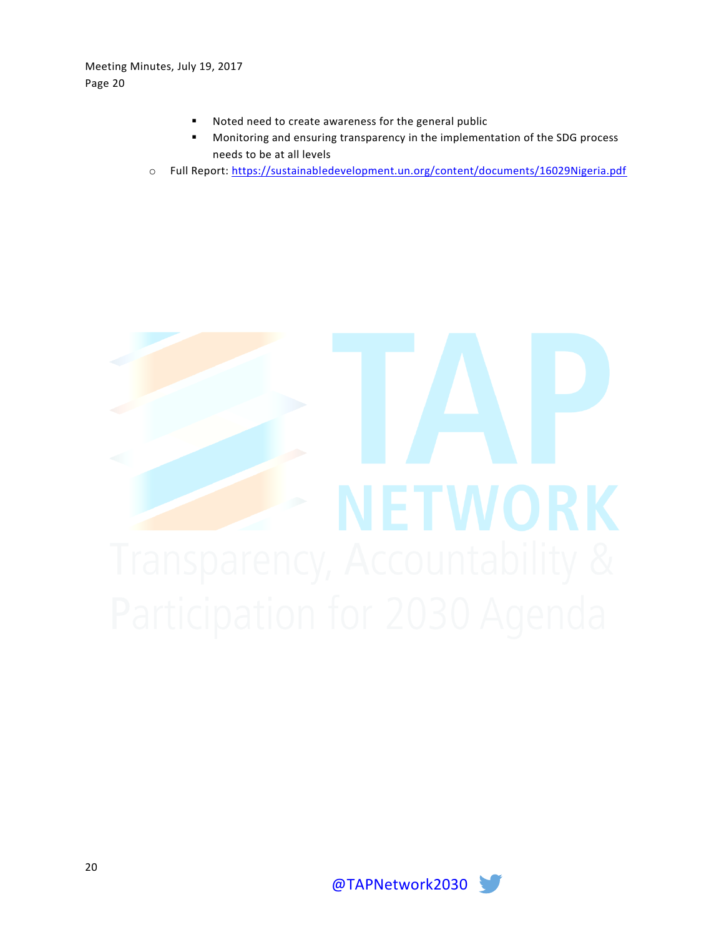- Noted need to create awareness for the general public
- Monitoring and ensuring transparency in the implementation of the SDG process needs to be at all levels
- o Full Report:<https://sustainabledevelopment.un.org/content/documents/16029Nigeria.pdf>



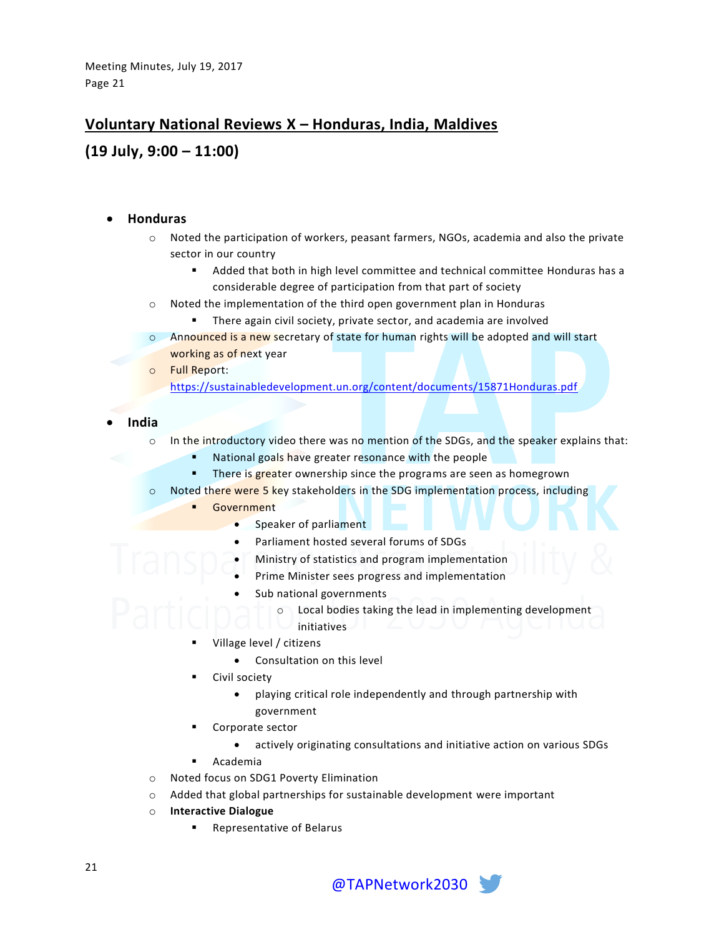## **Voluntary National Reviews X – Honduras, India, Maldives**

## **(19 July, 9:00 – 11:00)**

#### **Honduras**

- $\circ$  Noted the participation of workers, peasant farmers, NGOs, academia and also the private sector in our country
	- Added that both in high level committee and technical committee Honduras has a considerable degree of participation from that part of society
- o Noted the implementation of the third open government plan in Honduras
	- **There again civil society, private sector, and academia are involved**
- o Announced is a new secretary of state for human rights will be adopted and will start
	- working as of next year
- o Full Report:
	- <https://sustainabledevelopment.un.org/content/documents/15871Honduras.pdf>

**India**

- o In the introductory video there was no mention of the SDGs, and the speaker explains that:
	- **National goals have greater resonance with the people**
	- There is greater ownership since the programs are seen as homegrown
- o Noted there were 5 key stakeholders in the SDG implementation process, including
	- **Government** 
		- Speaker of parliament
			- Parliament hosted several forums of SDGs
		- Ministry of statistics and program implementation
		- Prime Minister sees progress and implementation
		- Sub national governments
			- o Local bodies taking the lead in implementing development
			- initiatives
	- Village level / citizens
		- Consultation on this level
	- Civil society
		- playing critical role independently and through partnership with government
	- Corporate sector
		- actively originating consultations and initiative action on various SDGs
	- Academia
- o Noted focus on SDG1 Poverty Elimination
- o Added that global partnerships for sustainable development were important
- o **Interactive Dialogue**
	- Representative of Belarus

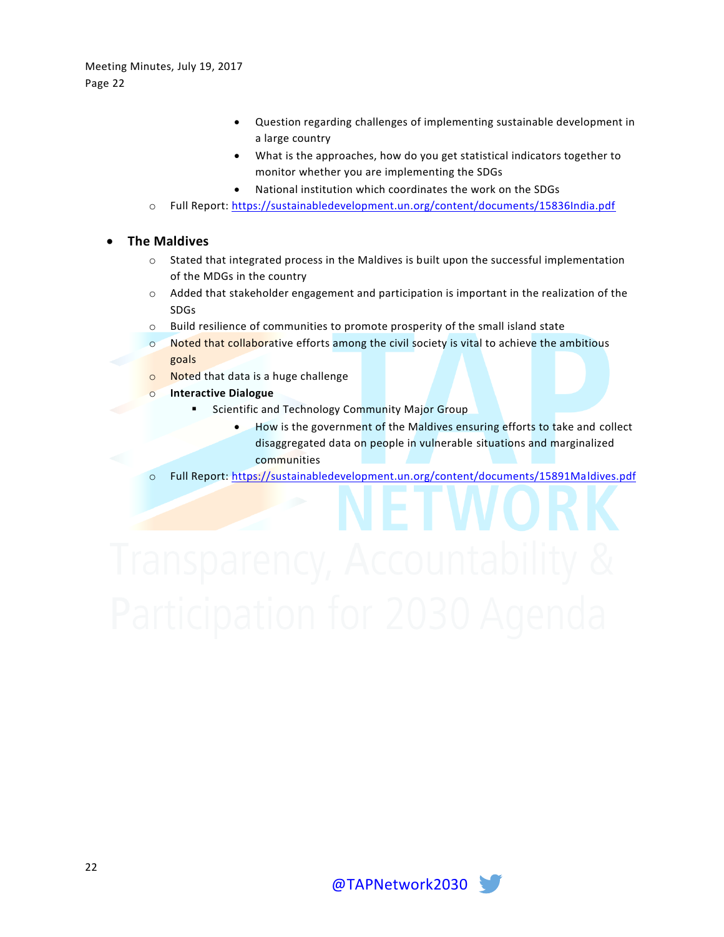- Question regarding challenges of implementing sustainable development in a large country
- What is the approaches, how do you get statistical indicators together to monitor whether you are implementing the SDGs
- National institution which coordinates the work on the SDGs
- o Full Report:<https://sustainabledevelopment.un.org/content/documents/15836India.pdf>
- **The Maldives**
	- $\circ$  Stated that integrated process in the Maldives is built upon the successful implementation of the MDGs in the country
	- o Added that stakeholder engagement and participation is important in the realization of the SDGs
	- o Build resilience of communities to promote prosperity of the small island state
	- o Noted that collaborative efforts among the civil society is vital to achieve the ambitious goals
	- o Noted that data is a huge challenge
	- o **Interactive Dialogue**
		- Scientific and Technology Community Major Group
			- How is the government of the Maldives ensuring efforts to take and collect disaggregated data on people in vulnerable situations and marginalized communities
	- o Full Report:<https://sustainabledevelopment.un.org/content/documents/15891Maldives.pdf>

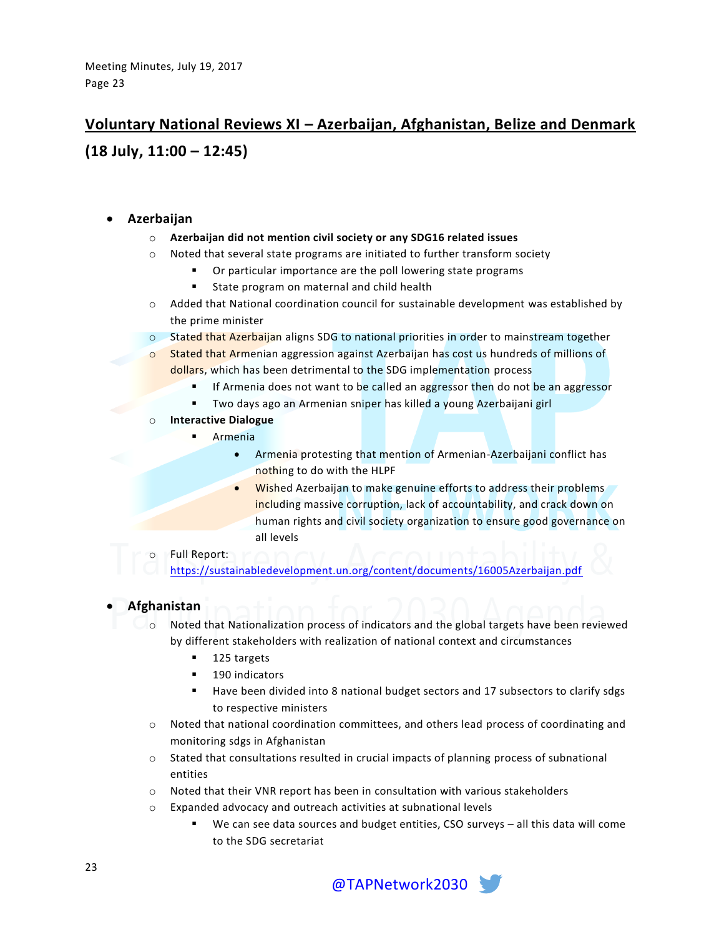# **Voluntary National Reviews XI – Azerbaijan, Afghanistan, Belize and Denmark (18 July, 11:00 – 12:45)**

#### **Azerbaijan**

- o **Azerbaijan did not mention civil society or any SDG16 related issues**
- o Noted that several state programs are initiated to further transform society
	- Or particular importance are the poll lowering state programs
	- **State program on maternal and child health**
- o Added that National coordination council for sustainable development was established by the prime minister
- o Stated that Azerbaijan aligns SDG to national priorities in order to mainstream together
- o Stated that Armenian aggression against Azerbaijan has cost us hundreds of millions of dollars, which has been detrimental to the SDG implementation process
	- If Armenia does not want to be called an aggressor then do not be an aggressor
	- Two days ago an Armenian sniper has killed a young Azerbaijani girl
- o **Interactive Dialogue**
	- Armenia
		- Armenia protesting that mention of Armenian-Azerbaijani conflict has nothing to do with the HLPF
		- Wished Azerbaijan to make genuine efforts to address their problems including massive corruption, lack of accountability, and crack down on human rights and civil society organization to ensure good governance on all levels

#### Full Report:

<https://sustainabledevelopment.un.org/content/documents/16005Azerbaijan.pdf>

#### **Afghanistan**

- o Noted that Nationalization process of indicators and the global targets have been reviewed by different stakeholders with realization of national context and circumstances
	- 125 targets
	- 190 indicators
	- Have been divided into 8 national budget sectors and 17 subsectors to clarify sdgs to respective ministers
	- o Noted that national coordination committees, and others lead process of coordinating and monitoring sdgs in Afghanistan
	- o Stated that consultations resulted in crucial impacts of planning process of subnational entities
	- $\circ$  Noted that their VNR report has been in consultation with various stakeholders
	- o Expanded advocacy and outreach activities at subnational levels
		- We can see data sources and budget entities, CSO surveys all this data will come to the SDG secretariat

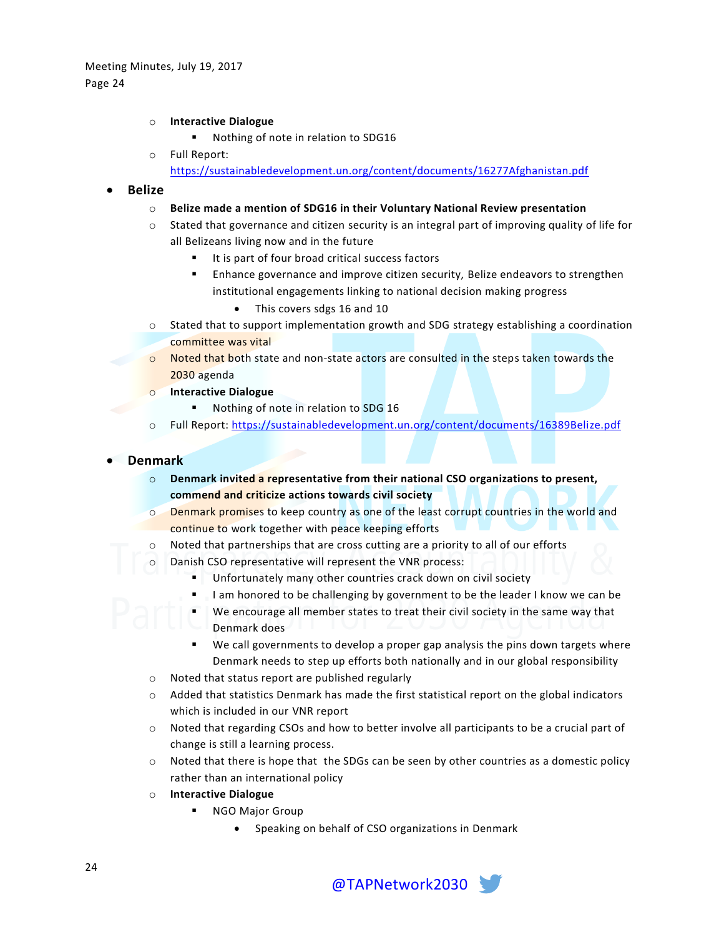#### o **Interactive Dialogue**

- Nothing of note in relation to SDG16
- o Full Report: <https://sustainabledevelopment.un.org/content/documents/16277Afghanistan.pdf>

#### **Belize**

- o **Belize made a mention of SDG16 in their Voluntary National Review presentation**
- $\circ$  Stated that governance and citizen security is an integral part of improving quality of life for all Belizeans living now and in the future
	- $\blacksquare$  It is part of four broad critical success factors
	- Enhance governance and improve citizen security, Belize endeavors to strengthen institutional engagements linking to national decision making progress
		- This covers sdgs 16 and 10
- o Stated that to support implementation growth and SDG strategy establishing a coordination committee was vital
- o Noted that both state and non-state actors are consulted in the steps taken towards the 2030 agenda
- o **Interactive Dialogue**
	- Nothing of note in relation to SDG 16
- o Full Report:<https://sustainabledevelopment.un.org/content/documents/16389Belize.pdf>

#### **Denmark**

- o **Denmark invited a representative from their national CSO organizations to present, commend and criticize actions towards civil society**
- o Denmark promises to keep country as one of the least corrupt countries in the world and continue to work together with peace keeping efforts
- o Noted that partnerships that are cross cutting are a priority to all of our efforts
- o Danish CSO representative will represent the VNR process:
	- Unfortunately many other countries crack down on civil society
	- I am honored to be challenging by government to be the leader I know we can be
	- We encourage all member states to treat their civil society in the same way that Denmark does
	- We call governments to develop a proper gap analysis the pins down targets where Denmark needs to step up efforts both nationally and in our global responsibility
- o Noted that status report are published regularly
- o Added that statistics Denmark has made the first statistical report on the global indicators which is included in our VNR report
- $\circ$  Noted that regarding CSOs and how to better involve all participants to be a crucial part of change is still a learning process.
- $\circ$  Noted that there is hope that the SDGs can be seen by other countries as a domestic policy rather than an international policy
- o **Interactive Dialogue**
	- NGO Major Group
		- Speaking on behalf of CSO organizations in Denmark

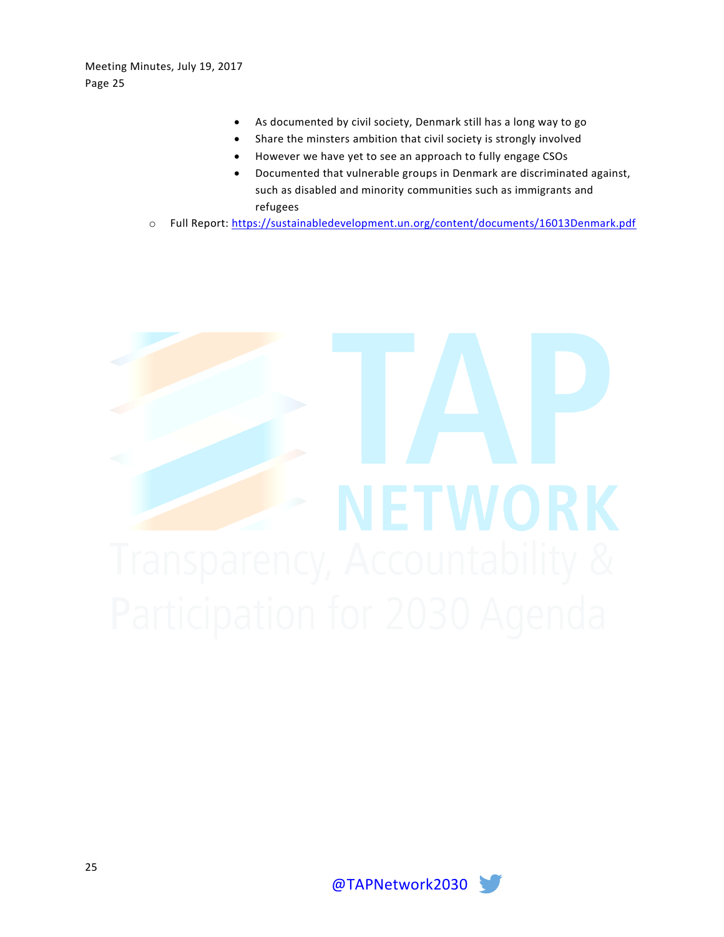- As documented by civil society, Denmark still has a long way to go
- Share the minsters ambition that civil society is strongly involved
- However we have yet to see an approach to fully engage CSOs
- Documented that vulnerable groups in Denmark are discriminated against, such as disabled and minority communities such as immigrants and refugees
- o Full Report:<https://sustainabledevelopment.un.org/content/documents/16013Denmark.pdf>



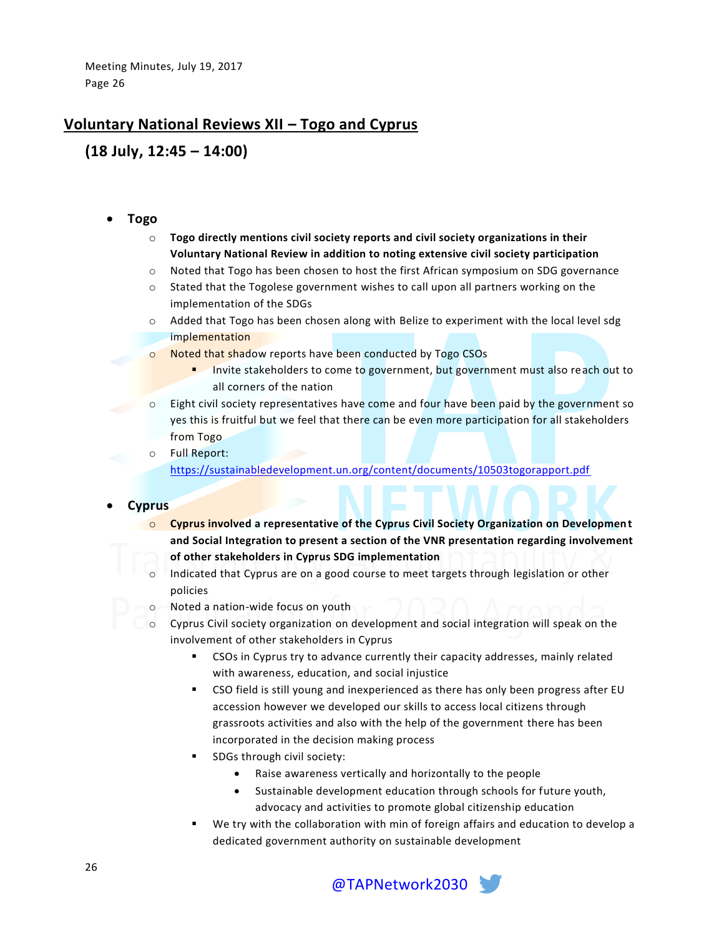## **Voluntary National Reviews XII – Togo and Cyprus**

## **(18 July, 12:45 – 14:00)**

- **Togo**
	- o **Togo directly mentions civil society reports and civil society organizations in their Voluntary National Review in addition to noting extensive civil society participation**
	- o Noted that Togo has been chosen to host the first African symposium on SDG governance
	- $\circ$  Stated that the Togolese government wishes to call upon all partners working on the implementation of the SDGs
	- $\circ$  Added that Togo has been chosen along with Belize to experiment with the local level sdg implementation
	- o Noted that shadow reports have been conducted by Togo CSOs
		- Invite stakeholders to come to government, but government must also reach out to all corners of the nation
	- $\circ$  Eight civil society representatives have come and four have been paid by the government so yes this is fruitful but we feel that there can be even more participation for all stakeholders from Togo
	- o Full Report: <https://sustainabledevelopment.un.org/content/documents/10503togorapport.pdf>

#### **Cyprus**

- **Cyprus involved a representative of the Cyprus Civil Society Organization on Development and Social Integration to present a section of the VNR presentation regarding involvement of other stakeholders in Cyprus SDG implementation**
	- o Indicated that Cyprus are on a good course to meet targets through legislation or other policies
	- o Noted a nation-wide focus on youth
	- o Cyprus Civil society organization on development and social integration will speak on the involvement of other stakeholders in Cyprus
		- CSOs in Cyprus try to advance currently their capacity addresses, mainly related with awareness, education, and social injustice
		- CSO field is still young and inexperienced as there has only been progress after EU accession however we developed our skills to access local citizens through grassroots activities and also with the help of the government there has been incorporated in the decision making process
		- SDGs through civil society:
			- Raise awareness vertically and horizontally to the people
			- Sustainable development education through schools for future youth, advocacy and activities to promote global citizenship education
		- We try with the collaboration with min of foreign affairs and education to develop a dedicated government authority on sustainable development

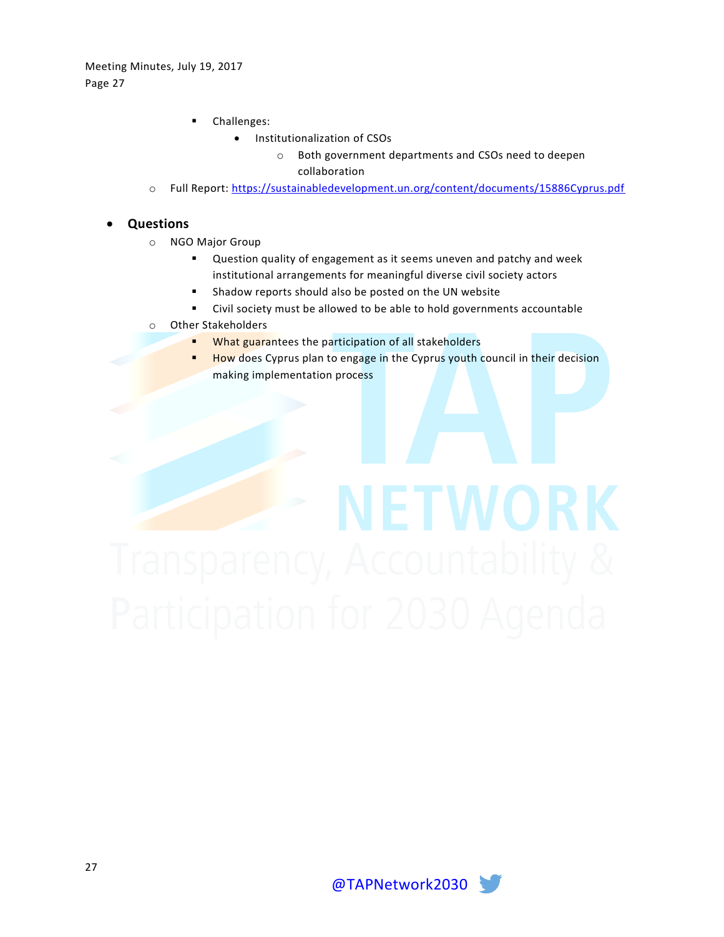- **•** Challenges:
	- **•** Institutionalization of CSOs
		- o Both government departments and CSOs need to deepen collaboration
- o Full Report:<https://sustainabledevelopment.un.org/content/documents/15886Cyprus.pdf>

#### **Questions**

- o NGO Major Group
	- Question quality of engagement as it seems uneven and patchy and week institutional arrangements for meaningful diverse civil society actors
	- Shadow reports should also be posted on the UN website
	- Civil society must be allowed to be able to hold governments accountable
- o Other Stakeholders
	- What guarantees the participation of all stakeholders
	- **How does Cyprus plan to engage in the Cyprus youth council in their decision** making implementation process

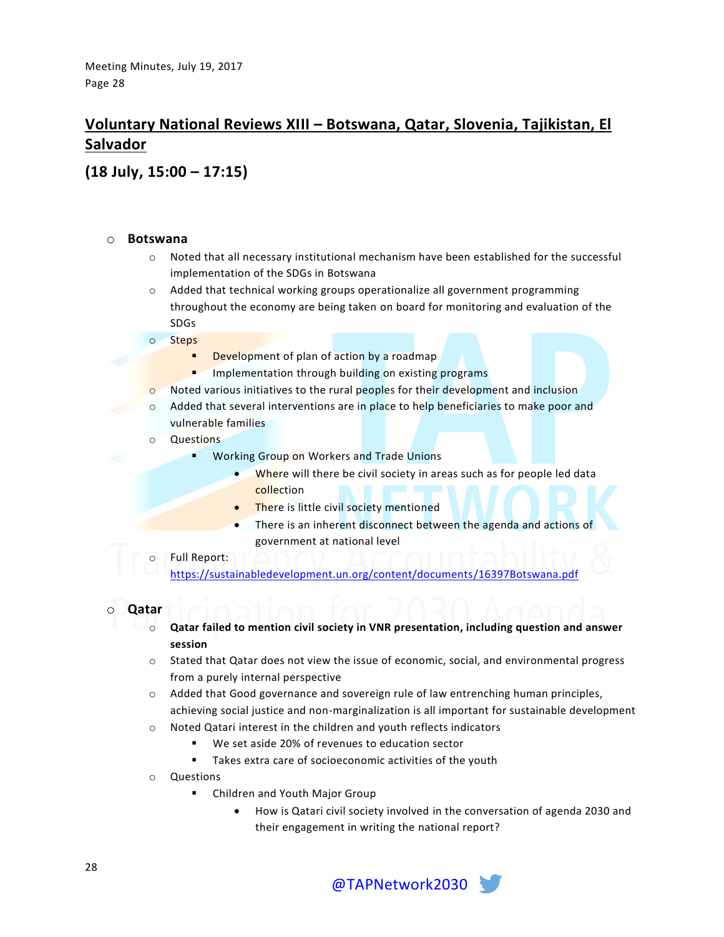# **Voluntary National Reviews XIII – Botswana, Qatar, Slovenia, Tajikistan, El Salvador**

**(18 July, 15:00 – 17:15)**

#### o **Botswana**

- o Noted that all necessary institutional mechanism have been established for the successful implementation of the SDGs in Botswana
- o Added that technical working groups operationalize all government programming throughout the economy are being taken on board for monitoring and evaluation of the SDGs
- o Steps
	- Development of plan of action by a roadmap
	- **Implementation through building on existing programs**
- o Noted various initiatives to the rural peoples for their development and inclusion
- $\circ$  Added that several interventions are in place to help beneficiaries to make poor and vulnerable families
- o Questions
	- **Working Group on Workers and Trade Unions** 
		- Where will there be civil society in areas such as for people led data collection
		- **There is little civil society mentioned**
		- There is an inherent disconnect between the agenda and actions of government at national level
- o Full Report:

<https://sustainabledevelopment.un.org/content/documents/16397Botswana.pdf>

#### o **Qatar**

- o **Qatar failed to mention civil society in VNR presentation, including question and answer session**
- o Stated that Qatar does not view the issue of economic, social, and environmental progress from a purely internal perspective
- $\circ$  Added that Good governance and sovereign rule of law entrenching human principles, achieving social justice and non-marginalization is all important for sustainable development
- o Noted Qatari interest in the children and youth reflects indicators
	- We set aside 20% of revenues to education sector
	- Takes extra care of socioeconomic activities of the youth
- o Questions
	- Children and Youth Major Group
		- How is Qatari civil society involved in the conversation of agenda 2030 and their engagement in writing the national report?

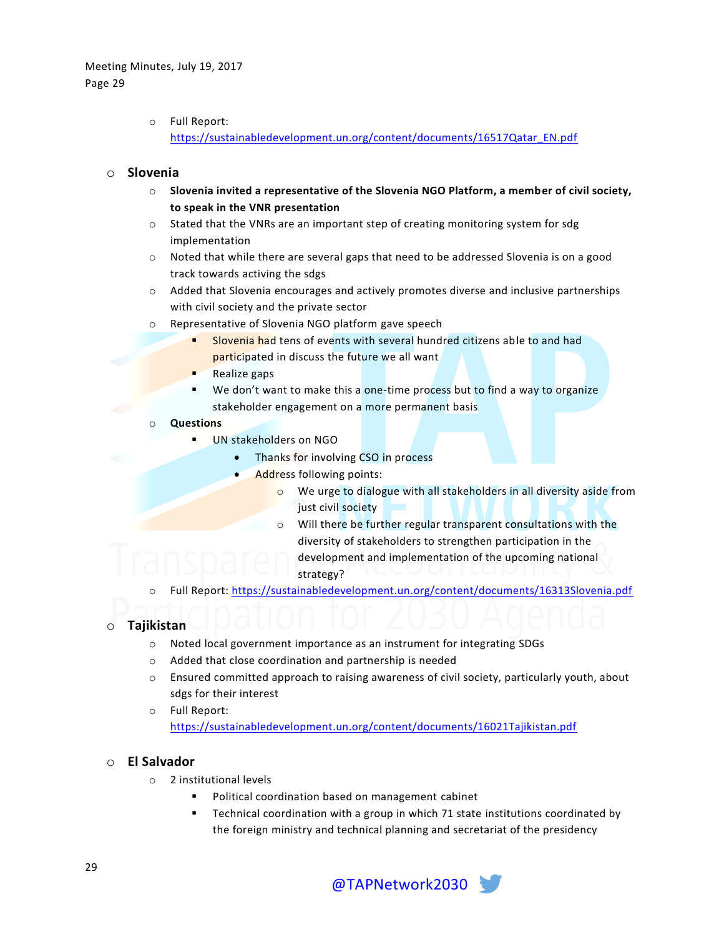o Full Report: [https://sustainabledevelopment.un.org/content/documents/16517Qatar\\_EN.pdf](https://sustainabledevelopment.un.org/content/documents/16517Qatar_EN.pdf)

#### o **Slovenia**

- o **Slovenia invited a representative of the Slovenia NGO Platform, a member of civil society, to speak in the VNR presentation**
- $\circ$  Stated that the VNRs are an important step of creating monitoring system for sdg implementation
- o Noted that while there are several gaps that need to be addressed Slovenia is on a good track towards activing the sdgs
- o Added that Slovenia encourages and actively promotes diverse and inclusive partnerships with civil society and the private sector
- o Representative of Slovenia NGO platform gave speech
	- Slovenia had tens of events with several hundred citizens able to and had participated in discuss the future we all want
	- Realize gaps
	- We don't want to make this a one-time process but to find a way to organize stakeholder engagement on a more permanent basis
- o **Questions**
	- UN stakeholders on NGO
		- Thanks for involving CSO in process
		- Address following points:
			- o We urge to dialogue with all stakeholders in all diversity aside from just civil society
			- o Will there be further regular transparent consultations with the diversity of stakeholders to strengthen participation in the development and implementation of the upcoming national strategy?
- o Full Report:<https://sustainabledevelopment.un.org/content/documents/16313Slovenia.pdf>

#### o **Tajikistan**

- o Noted local government importance as an instrument for integrating SDGs
- o Added that close coordination and partnership is needed
- o Ensured committed approach to raising awareness of civil society, particularly youth, about sdgs for their interest
- o Full Report: <https://sustainabledevelopment.un.org/content/documents/16021Tajikistan.pdf>

#### o **El Salvador**

- o 2 institutional levels
	- **Political coordination based on management cabinet** 
		- Technical coordination with a group in which 71 state institutions coordinated by the foreign ministry and technical planning and secretariat of the presidency